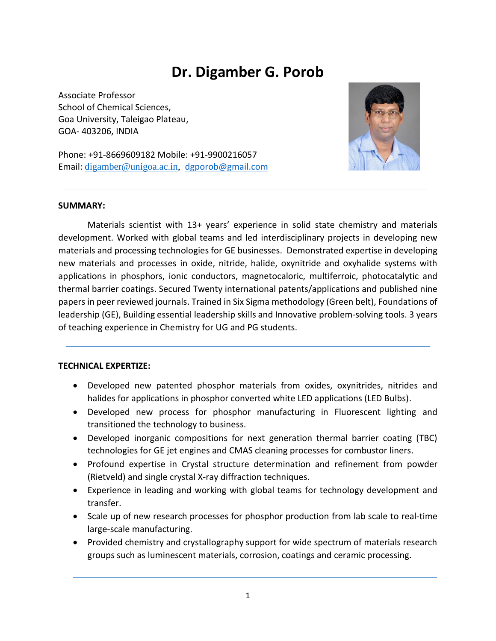# **Dr. Digamber G. Porob**

Associate Professor School of Chemical Sciences, Goa University, Taleigao Plateau, GOA- 403206, INDIA



Phone: +91-8669609182 Mobile: +91-9900216057 Email: [digamber@unigoa.ac.in,](mailto:digamber@unigoa.ac.in) [dgporob@gmail.com](mailto:dgporob@gmail.com)

#### **SUMMARY:**

Materials scientist with 13+ years' experience in solid state chemistry and materials development. Worked with global teams and led interdisciplinary projects in developing new materials and processing technologies for GE businesses. Demonstrated expertise in developing new materials and processes in oxide, nitride, halide, oxynitride and oxyhalide systems with applications in phosphors, ionic conductors, magnetocaloric, multiferroic, photocatalytic and thermal barrier coatings. Secured Twenty international patents/applications and published nine papers in peer reviewed journals. Trained in Six Sigma methodology (Green belt), Foundations of leadership (GE), Building essential leadership skills and Innovative problem-solving tools. 3 years of teaching experience in Chemistry for UG and PG students.

#### **TECHNICAL EXPERTIZE:**

- Developed new patented phosphor materials from oxides, oxynitrides, nitrides and halides for applications in phosphor converted white LED applications (LED Bulbs).
- Developed new process for phosphor manufacturing in Fluorescent lighting and transitioned the technology to business.
- Developed inorganic compositions for next generation thermal barrier coating (TBC) technologies for GE jet engines and CMAS cleaning processes for combustor liners.
- Profound expertise in Crystal structure determination and refinement from powder (Rietveld) and single crystal X-ray diffraction techniques.
- Experience in leading and working with global teams for technology development and transfer.
- Scale up of new research processes for phosphor production from lab scale to real-time large-scale manufacturing.
- Provided chemistry and crystallography support for wide spectrum of materials research groups such as luminescent materials, corrosion, coatings and ceramic processing.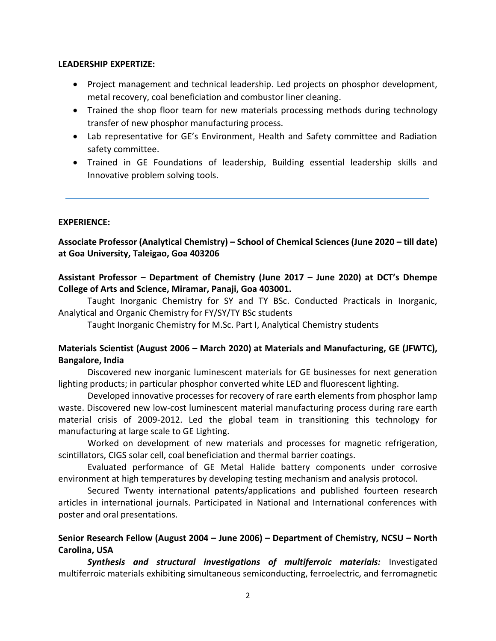#### **LEADERSHIP EXPERTIZE:**

- Project management and technical leadership. Led projects on phosphor development, metal recovery, coal beneficiation and combustor liner cleaning.
- Trained the shop floor team for new materials processing methods during technology transfer of new phosphor manufacturing process.
- Lab representative for GE's Environment, Health and Safety committee and Radiation safety committee.
- Trained in GE Foundations of leadership, Building essential leadership skills and Innovative problem solving tools.

#### **EXPERIENCE:**

**Associate Professor (Analytical Chemistry) – School of Chemical Sciences (June 2020 – till date) at Goa University, Taleigao, Goa 403206**

# **Assistant Professor – Department of Chemistry (June 2017 – June 2020) at DCT's Dhempe College of Arts and Science, Miramar, Panaji, Goa 403001.**

Taught Inorganic Chemistry for SY and TY BSc. Conducted Practicals in Inorganic, Analytical and Organic Chemistry for FY/SY/TY BSc students

Taught Inorganic Chemistry for M.Sc. Part I, Analytical Chemistry students

# **Materials Scientist (August 2006 – March 2020) at Materials and Manufacturing, GE (JFWTC), Bangalore, India**

Discovered new inorganic luminescent materials for GE businesses for next generation lighting products; in particular phosphor converted white LED and fluorescent lighting.

Developed innovative processes for recovery of rare earth elements from phosphor lamp waste. Discovered new low-cost luminescent material manufacturing process during rare earth material crisis of 2009-2012. Led the global team in transitioning this technology for manufacturing at large scale to GE Lighting.

Worked on development of new materials and processes for magnetic refrigeration, scintillators, CIGS solar cell, coal beneficiation and thermal barrier coatings.

Evaluated performance of GE Metal Halide battery components under corrosive environment at high temperatures by developing testing mechanism and analysis protocol.

Secured Twenty international patents/applications and published fourteen research articles in international journals. Participated in National and International conferences with poster and oral presentations.

# **Senior Research Fellow (August 2004 – June 2006) – Department of Chemistry, NCSU – North Carolina, USA**

*Synthesis and structural investigations of multiferroic materials:* Investigated multiferroic materials exhibiting simultaneous semiconducting, ferroelectric, and ferromagnetic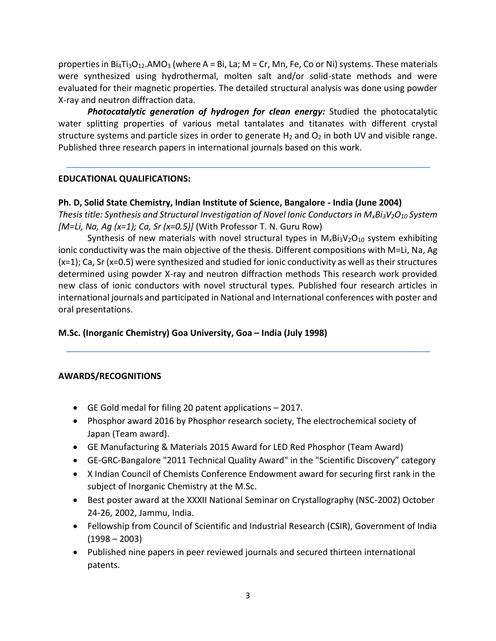properties in Bi<sub>4</sub>Ti<sub>3</sub>O<sub>12</sub>.AMO<sub>3</sub> (where A = Bi, La; M = Cr, Mn, Fe, Co or Ni) systems. These materials were synthesized using hydrothermal, molten salt and/or solid-state methods and were evaluated for their magnetic properties. The detailed structural analysis was done using powder X-ray and neutron diffraction data.

*Photocatalytic generation of hydrogen for clean energy:* Studied the photocatalytic water splitting properties of various metal tantalates and titanates with different crystal structure systems and particle sizes in order to generate  $H_2$  and  $O_2$  in both UV and visible range. Published three research papers in international journals based on this work.

# **EDUCATIONAL QUALIFICATIONS:**

#### **Ph. D, Solid State Chemistry, Indian Institute of Science, Bangalore - India (June 2004)**

*Thesis title: Synthesis and Structural Investigation of Novel Ionic Conductors in MxBi3V2O<sup>10</sup> System [M=Li, Na, Ag (x=1); Ca, Sr (x=0.5)]* (With Professor T. N. Guru Row)

Synthesis of new materials with novel structural types in  $M_xBi_3V_2O_{10}$  system exhibiting ionic conductivity was the main objective of the thesis. Different compositions with M=Li, Na, Ag  $(x=1)$ ; Ca, Sr  $(x=0.5)$  were synthesized and studied for ionic conductivity as well as their structures determined using powder X-ray and neutron diffraction methods This research work provided new class of ionic conductors with novel structural types. Published four research articles in international journals and participated in National and International conferences with poster and oral presentations.

#### **M.Sc. (Inorganic Chemistry) Goa University, Goa – India (July 1998)**

#### **AWARDS/RECOGNITIONS**

- GE Gold medal for filing 20 patent applications 2017.
- Phosphor award 2016 by Phosphor research society, The electrochemical society of Japan (Team award).
- GE Manufacturing & Materials 2015 Award for LED Red Phosphor (Team Award)
- GE-GRC-Bangalore "2011 Technical Quality Award" in the "Scientific Discovery" category
- X Indian Council of Chemists Conference Endowment award for securing first rank in the subject of Inorganic Chemistry at the M.Sc.
- Best poster award at the XXXII National Seminar on Crystallography (NSC-2002) October 24-26, 2002, Jammu, India.
- Fellowship from Council of Scientific and Industrial Research (CSIR), Government of India  $(1998 - 2003)$
- Published nine papers in peer reviewed journals and secured thirteen international patents.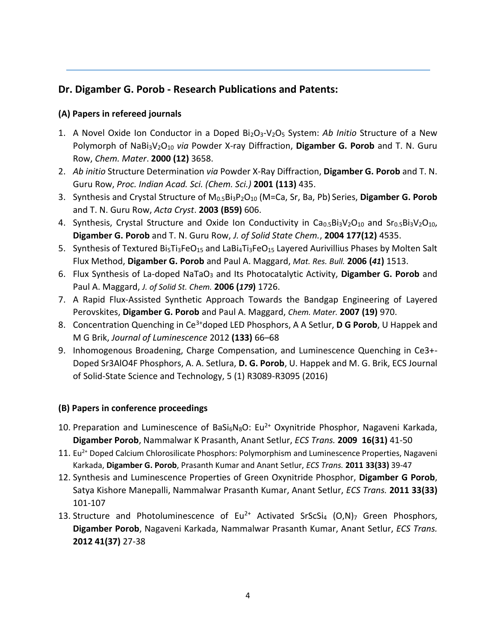# **Dr. Digamber G. Porob - Research Publications and Patents:**

# **(A) Papers in refereed journals**

- 1. A Novel Oxide Ion Conductor in a Doped Bi2O3-V2O<sup>5</sup> System: *Ab Initio* Structure of a New Polymorph of NaBi3V2O<sup>10</sup> *via* Powder X-ray Diffraction, **Digamber G. Porob** and T. N. Guru Row, *Chem. Mater*. **2000 (12)** 3658.
- 2. *Ab initio* Structure Determination *via* Powder X-Ray Diffraction, **Digamber G. Porob** and T. N. Guru Row, *Proc. Indian Acad. Sci. (Chem. Sci.)* **2001 (113)** 435.
- 3. Synthesis and Crystal Structure of M0.5Bi3P2O<sup>10</sup> (M=Ca, Sr, Ba, Pb) Series, **Digamber G. Porob** and T. N. Guru Row, *Acta Cryst*. **2003 (B59)** 606.
- 4. Synthesis, Crystal Structure and Oxide Ion Conductivity in Ca0.5Bi3V2O10 and Sr0.5Bi3V2O10, **Digamber G. Porob** and T. N. Guru Row, *J. of Solid State Chem.*, **2004 177(12)** 4535.
- 5. Synthesis of Textured Bi<sub>5</sub>Ti<sub>3</sub>FeO<sub>15</sub> and LaBi<sub>4</sub>Ti<sub>3</sub>FeO<sub>15</sub> Layered Aurivillius Phases by Molten Salt Flux Method, **Digamber G. Porob** and Paul A. Maggard, *Mat. Res. Bull.* **2006 (***41***)** 1513.
- 6. Flux Synthesis of La-doped NaTaO<sub>3</sub> and Its Photocatalytic Activity, Digamber G. Porob and Paul A. Maggard, *J. of Solid St. Chem.* **2006 (***179***)** 1726.
- 7. A Rapid Flux-Assisted Synthetic Approach Towards the Bandgap Engineering of Layered Perovskites, **Digamber G. Porob** and Paul A. Maggard, *Chem. Mater.* **2007 (19)** 970.
- 8. Concentration Quenching in Ce3+doped LED Phosphors, A A Setlur, **D G Porob**, U Happek and M G Brik, *Journal of Luminescence* 2012 **(133)** 66–68
- 9. Inhomogenous Broadening, Charge Compensation, and Luminescence Quenching in Ce3+- Doped Sr3AlO4F Phosphors, A. A. Setlura, **D. G. Porob**, U. Happek and M. G. Brik, ECS Journal of Solid-State Science and Technology, 5 (1) R3089-R3095 (2016)

#### **(B) Papers in conference proceedings**

- 10. Preparation and Luminescence of BaSi<sub>6</sub>N<sub>8</sub>O: Eu<sup>2+</sup> Oxynitride Phosphor, Nagaveni Karkada, **Digamber Porob**, Nammalwar K Prasanth, Anant Setlur, *ECS Trans.* **2009 16(31)** 41-50
- 11. Eu<sup>2+</sup> Doped Calcium Chlorosilicate Phosphors: Polymorphism and Luminescence Properties, Nagaveni Karkada, **Digamber G. Porob**, Prasanth Kumar and Anant Setlur, *ECS Trans.* **2011 33(33)** 39-47
- 12. Synthesis and Luminescence Properties of Green Oxynitride Phosphor, **Digamber G Porob**, Satya Kishore Manepalli, Nammalwar Prasanth Kumar, Anant Setlur, *ECS Trans.* **2011 33(33)** 101-107
- 13. Structure and Photoluminescence of Eu<sup>2+</sup> Activated SrScSi<sub>4</sub> (O,N)<sub>7</sub> Green Phosphors, **Digamber Porob**, Nagaveni Karkada, Nammalwar Prasanth Kumar, Anant Setlur, *ECS Trans.* **2012 41(37)** 27-38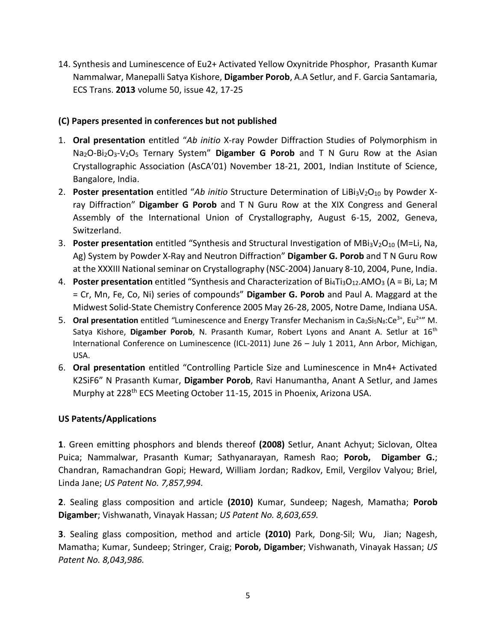14. Synthesis and Luminescence of Eu2+ Activated Yellow Oxynitride Phosphor, Prasanth Kumar Nammalwar, Manepalli Satya Kishore, **Digamber Porob**, A.A Setlur, and F. Garcia Santamaria, ECS Trans. **2013** volume 50, issue 42, 17-25

# **(C) Papers presented in conferences but not published**

- 1. **Oral presentation** entitled "*Ab initio* X-ray Powder Diffraction Studies of Polymorphism in Na2O-Bi2O3-V2O<sup>5</sup> Ternary System" **Digamber G Porob** and T N Guru Row at the Asian Crystallographic Association (AsCA01) November 18-21, 2001, Indian Institute of Science, Bangalore, India.
- 2. **Poster presentation** entitled "*Ab initio* Structure Determination of LiBi<sub>3</sub>V<sub>2</sub>O<sub>10</sub> by Powder Xray Diffraction" **Digamber G Porob** and T N Guru Row at the XIX Congress and General Assembly of the International Union of Crystallography, August 6-15, 2002, Geneva, Switzerland.
- 3. **Poster presentation** entitled "Synthesis and Structural Investigation of MBi<sub>3</sub>V<sub>2</sub>O<sub>10</sub> (M=Li, Na, Ag) System by Powder X-Ray and Neutron Diffraction" **Digamber G. Porob** and T N Guru Row at the XXXIII National seminar on Crystallography (NSC-2004) January 8-10, 2004, Pune, India.
- 4. **Poster presentation** entitled "Synthesis and Characterization of Bi<sub>4</sub>Ti<sub>3</sub>O<sub>12</sub>.AMO<sub>3</sub> (A = Bi, La; M = Cr, Mn, Fe, Co, Ni) series of compounds" **Digamber G. Porob** and Paul A. Maggard at the Midwest Solid-State Chemistry Conference 2005 May 26-28, 2005, Notre Dame, Indiana USA.
- 5. **Oral presentation** entitled "Luminescence and Energy Transfer Mechanism in Ca<sub>2</sub>Si<sub>5</sub>N<sub>8</sub>:Ce<sup>3+</sup>, Eu<sup>2+</sup>" M. Satya Kishore, **Digamber Porob**, N. Prasanth Kumar, Robert Lyons and Anant A. Setlur at 16th International Conference on Luminescence (ICL-2011) June 26 – July 1 2011, Ann Arbor, Michigan, USA.
- 6. **Oral presentation** entitled "Controlling Particle Size and Luminescence in Mn4+ Activated K2SiF6" N Prasanth Kumar, **Digamber Porob**, Ravi Hanumantha, Anant A Setlur, and James Murphy at 228<sup>th</sup> ECS Meeting October 11-15, 2015 in Phoenix, Arizona USA.

# **US Patents/Applications**

**1**. Green emitting phosphors and blends thereof **(2008)** Setlur, Anant Achyut; Siclovan, Oltea Puica; Nammalwar, Prasanth Kumar; Sathyanarayan, Ramesh Rao; **Porob, Digamber G.**; Chandran, Ramachandran Gopi; Heward, William Jordan; Radkov, Emil, Vergilov Valyou; Briel, Linda Jane; *US Patent No. 7,857,994.*

**2**. Sealing glass composition and article **(2010)** Kumar, Sundeep; Nagesh, Mamatha; **Porob Digamber**; Vishwanath, Vinayak Hassan; *US Patent No. 8,603,659.*

**3**. Sealing glass composition, method and article **(2010)** Park, Dong-Sil; Wu, Jian; Nagesh, Mamatha; Kumar, Sundeep; Stringer, Craig; **Porob, Digamber**; Vishwanath, Vinayak Hassan; *US Patent No. 8,043,986.*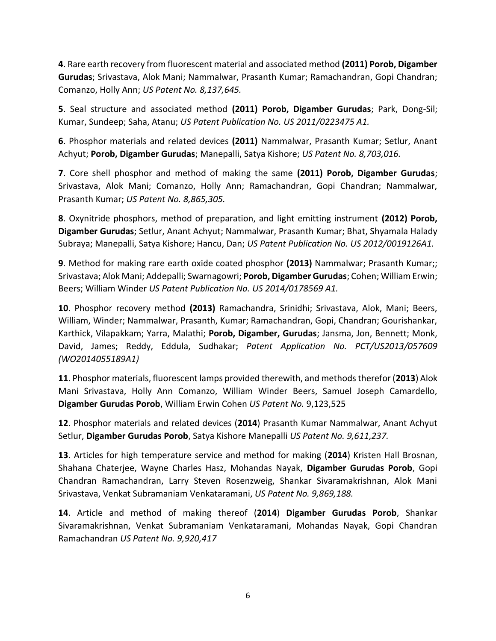**4**. Rare earth recovery from fluorescent material and associated method **(2011) Porob, Digamber Gurudas**; Srivastava, Alok Mani; Nammalwar, Prasanth Kumar; Ramachandran, Gopi Chandran; Comanzo, Holly Ann; *US Patent No. 8,137,645.*

**5**. Seal structure and associated method **(2011) Porob, Digamber Gurudas**; Park, Dong-Sil; Kumar, Sundeep; Saha, Atanu; *US Patent Publication No. US 2011/0223475 A1.*

**6**. Phosphor materials and related devices **(2011)** Nammalwar, Prasanth Kumar; Setlur, Anant Achyut; **Porob, Digamber Gurudas**; Manepalli, Satya Kishore; *US Patent No. 8,703,016.*

**7**. Core shell phosphor and method of making the same **(2011) Porob, Digamber Gurudas**; Srivastava, Alok Mani; Comanzo, Holly Ann; Ramachandran, Gopi Chandran; Nammalwar, Prasanth Kumar; *US Patent No. 8,865,305.*

**8**. Oxynitride phosphors, method of preparation, and light emitting instrument **(2012) Porob, Digamber Gurudas**; Setlur, Anant Achyut; Nammalwar, Prasanth Kumar; Bhat, Shyamala Halady Subraya; Manepalli, Satya Kishore; Hancu, Dan; *US Patent Publication No. US 2012/0019126A1.* 

**9**. Method for making rare earth oxide coated phosphor **(2013)** Nammalwar; Prasanth Kumar;; Srivastava; Alok Mani; Addepalli; Swarnagowri; **Porob, Digamber Gurudas**; Cohen; William Erwin; Beers; William Winder *US Patent Publication No. US 2014/0178569 A1.*

**10**. Phosphor recovery method **(2013)** Ramachandra, Srinidhi; Srivastava, Alok, Mani; Beers, William, Winder; Nammalwar, Prasanth, Kumar; Ramachandran, Gopi, Chandran; Gourishankar, Karthick, Vilapakkam; Yarra, Malathi; **Porob, Digamber, Gurudas**; Jansma, Jon, Bennett; Monk, David, James; Reddy, Eddula, Sudhakar; *Patent Application No. PCT/US2013/057609 (WO2014055189A1)* 

**11**. Phosphor materials, fluorescent lamps provided therewith, and methods therefor (**2013**) Alok Mani Srivastava, Holly Ann Comanzo, William Winder Beers, Samuel Joseph Camardello, **Digamber Gurudas Porob**, William Erwin Cohen *US Patent No.* 9,123,525

**12**. Phosphor materials and related devices (**2014**) Prasanth Kumar Nammalwar, Anant Achyut Setlur, **Digamber Gurudas Porob**, Satya Kishore Manepalli *US Patent No. 9,611,237.*

**13**. Articles for high temperature service and method for making (**2014**) Kristen Hall Brosnan, Shahana Chaterjee, Wayne Charles Hasz, Mohandas Nayak, **Digamber Gurudas Porob**, Gopi Chandran Ramachandran, Larry Steven Rosenzweig, Shankar Sivaramakrishnan, Alok Mani Srivastava, Venkat Subramaniam Venkataramani, *US Patent No. 9,869,188.*

**14**. Article and method of making thereof (**2014**) **Digamber Gurudas Porob**, Shankar Sivaramakrishnan, Venkat Subramaniam Venkataramani, Mohandas Nayak, Gopi Chandran Ramachandran *US Patent No. 9,920,417*